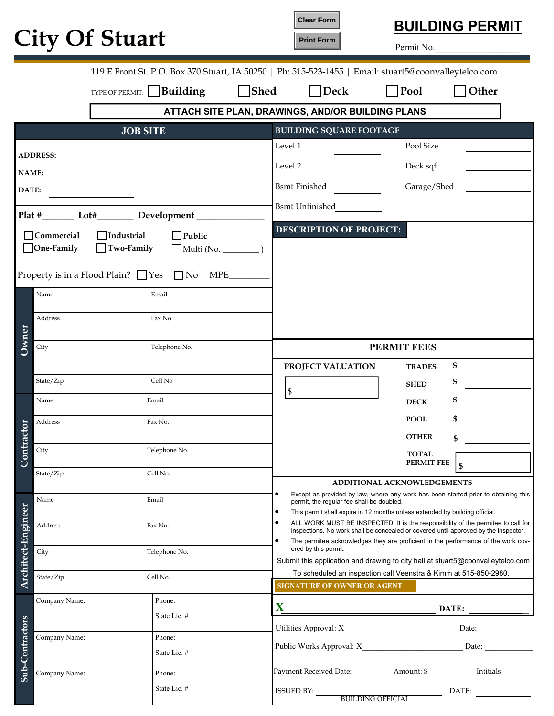|  |  | <b>City Of Stuart</b> |
|--|--|-----------------------|
|--|--|-----------------------|

**Clear Form Print Form**



Permit No.

| 119 E Front St. P.O. Box 370 Stuart, IA 50250   Ph: 515-523-1455   Email: stuart5@coonvalleytelco.com                                                                    |                                                                                      |                                                       |                                                   |                                                                                                                                                                          |
|--------------------------------------------------------------------------------------------------------------------------------------------------------------------------|--------------------------------------------------------------------------------------|-------------------------------------------------------|---------------------------------------------------|--------------------------------------------------------------------------------------------------------------------------------------------------------------------------|
|                                                                                                                                                                          | $\Box$ Shed<br>$\bigcap$ Pool<br>Building<br>$\Box$ Deck<br>Other<br>TYPE OF PERMIT: |                                                       |                                                   |                                                                                                                                                                          |
|                                                                                                                                                                          |                                                                                      |                                                       | ATTACH SITE PLAN, DRAWINGS, AND/OR BUILDING PLANS |                                                                                                                                                                          |
|                                                                                                                                                                          |                                                                                      | <b>JOB SITE</b>                                       | <b>BUILDING SQUARE FOOTAGE</b>                    |                                                                                                                                                                          |
|                                                                                                                                                                          | <b>ADDRESS:</b>                                                                      |                                                       | Level 1                                           | Pool Size                                                                                                                                                                |
| <b>NAME:</b>                                                                                                                                                             |                                                                                      |                                                       | Level 2                                           | Deck sqf                                                                                                                                                                 |
| DATE:                                                                                                                                                                    |                                                                                      |                                                       | <b>Bsmt Finished</b>                              | Garage/Shed                                                                                                                                                              |
|                                                                                                                                                                          |                                                                                      | Plat #________ Lot#__________ Development ___________ | Bsmt Unfinished                                   |                                                                                                                                                                          |
| $\Box$ Commercial<br>$\Box$ Industrial<br>$\Box$ Public<br>$\Box$ One-Family<br>$\Box$ Two-Family<br>Multi(No.<br>Property is in a Flood Plain? $\Box$ Yes $\Box$ No MPE |                                                                                      |                                                       | <b>DESCRIPTION OF PROJECT:</b>                    |                                                                                                                                                                          |
|                                                                                                                                                                          | Name                                                                                 | Email                                                 |                                                   |                                                                                                                                                                          |
|                                                                                                                                                                          | Address                                                                              | Fax No.                                               |                                                   |                                                                                                                                                                          |
| Owner                                                                                                                                                                    | City                                                                                 | Telephone No.                                         |                                                   | <b>PERMIT FEES</b>                                                                                                                                                       |
|                                                                                                                                                                          |                                                                                      |                                                       | PROJECT VALUATION                                 | \$<br><b>TRADES</b>                                                                                                                                                      |
|                                                                                                                                                                          | State/Zip                                                                            | Cell No                                               | \$                                                | \$<br><b>SHED</b>                                                                                                                                                        |
|                                                                                                                                                                          | Name                                                                                 | Email                                                 |                                                   | \$<br><b>DECK</b>                                                                                                                                                        |
|                                                                                                                                                                          | Address                                                                              | Fax No.                                               |                                                   | \$<br><b>POOL</b>                                                                                                                                                        |
| Contractor                                                                                                                                                               | City                                                                                 | Telephone No.                                         |                                                   | <b>OTHER</b><br>\$                                                                                                                                                       |
|                                                                                                                                                                          |                                                                                      |                                                       |                                                   | <b>TOTAL</b><br>PERMIT FEE<br>\$                                                                                                                                         |
|                                                                                                                                                                          | State/Zip                                                                            | Cell No.                                              |                                                   | ADDITIONAL ACKNOWLEDGEMENTS                                                                                                                                              |
|                                                                                                                                                                          | Name                                                                                 | Email                                                 | permit, the regular fee shall be doubled.         | Except as provided by law, where any work has been started prior to obtaining this                                                                                       |
| Architect-Engineer                                                                                                                                                       | Address                                                                              | Fax No.                                               | $\bullet$<br>$\bullet$                            | This permit shall expire in 12 months unless extended by building official.<br>ALL WORK MUST BE INSPECTED. It is the responsibility of the permitee to call for          |
|                                                                                                                                                                          |                                                                                      |                                                       | $\bullet$<br>ered by this permit.                 | inspections. No work shall be concealed or covered until approved by the inspector.<br>The permitee acknowledges they are proficient in the performance of the work cov- |
|                                                                                                                                                                          | City                                                                                 | Telephone No.                                         |                                                   | Submit this application and drawing to city hall at stuart5@coonvalleytelco.com                                                                                          |
|                                                                                                                                                                          | State/Zip                                                                            | Cell No.                                              | <b>SIGNATURE OF OWNER OR AGENT</b>                | To scheduled an inspection call Veenstra & Kimm at 515-850-2980.                                                                                                         |
|                                                                                                                                                                          | Company Name:                                                                        | Phone:                                                |                                                   |                                                                                                                                                                          |
|                                                                                                                                                                          | State Lic. #                                                                         |                                                       | $\mathbf{X}$                                      | DATE:                                                                                                                                                                    |
| Sub-Contractors                                                                                                                                                          | Company Name:                                                                        | Phone:                                                |                                                   | Date:                                                                                                                                                                    |
|                                                                                                                                                                          |                                                                                      | State Lic. #                                          | Public Works Approval: X                          | Date:                                                                                                                                                                    |
|                                                                                                                                                                          | Company Name:                                                                        | Phone:                                                |                                                   | Payment Received Date: _____________ Amount: \$______________ Intitials_________                                                                                         |
|                                                                                                                                                                          |                                                                                      | State Lic. #                                          | ISSUED BY:<br><b>BUILDING OFFICIAL</b>            | DATE:                                                                                                                                                                    |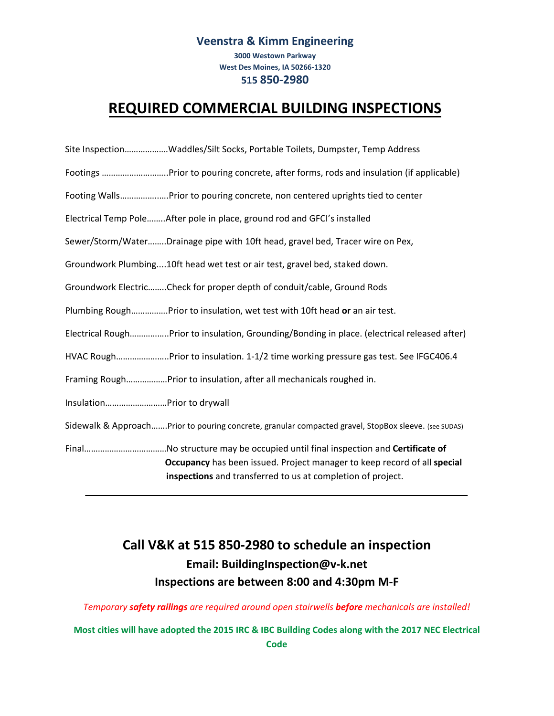### **Veenstra & Kimm Engineering**

**3000 Westown Parkway West Des Moines, IA 50266‐1320 515 850-2980**

## **REQUIRED COMMERCIAL BUILDING INSPECTIONS**

| Site Inspection……………….Waddles/Silt Socks, Portable Toilets, Dumpster, Temp Address |  |  |  |  |  |
|------------------------------------------------------------------------------------|--|--|--|--|--|
|------------------------------------------------------------------------------------|--|--|--|--|--|

- Footings ………………………..Prior to pouring concrete, after forms, rods and insulation (if applicable)
- Footing Walls……………..….Prior to pouring concrete, non centered uprights tied to center
- Electrical Temp Pole……..After pole in place, ground rod and GFCI's installed
- Sewer/Storm/Water……..Drainage pipe with 10ft head, gravel bed, Tracer wire on Pex,
- Groundwork Plumbing....10ft head wet test or air test, gravel bed, staked down.
- Groundwork Electric……..Check for proper depth of conduit/cable, Ground Rods
- Plumbing Rough…………….Prior to insulation, wet test with 10ft head **or** an air test.
- Electrical Rough……………..Prior to insulation, Grounding/Bonding in place. (electrical released after)
- HVAC Rough…………………..Prior to insulation. 1‐1/2 time working pressure gas test. See IFGC406.4
- Framing Rough………………Prior to insulation, after all mechanicals roughed in.
- Insulation………………………Prior to drywall
- Sidewalk & Approach…….Prior to pouring concrete, granular compacted gravel, StopBox sleeve. (see SUDAS)
- Final………………………………No structure may be occupied until final inspection and **Certificate of Occupancy** has been issued. Project manager to keep record of all **special inspections** and transferred to us at completion of project.

## **Call V&K at 515 850-2980 to schedule an inspection Email: BuildingInspection@v-k.net Inspections are between 8:00 and 4:30pm M‐F**

#### *Temporary safety railings are required around open stairwells before mechanicals are installed!*

Most cities will have adopted the 2015 IRC & IBC Building Codes along with the 2017 NEC Electrical **Code**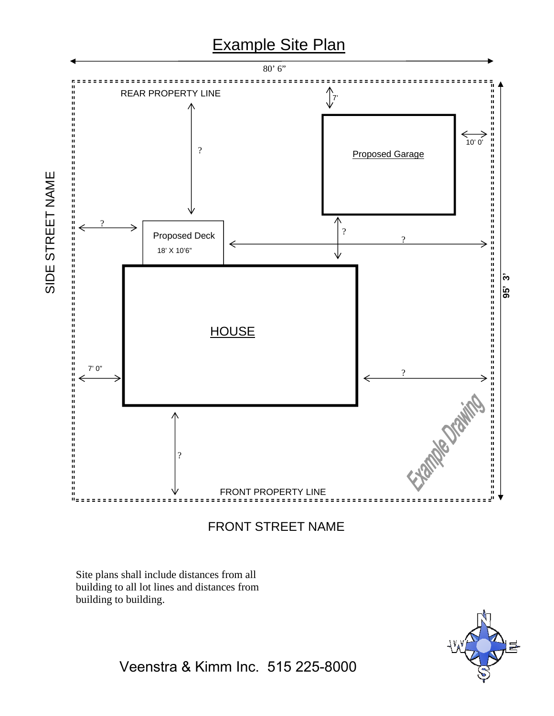

FRONT STREET NAME

Site plans shall include distances from all building to all lot lines and distances from building to building.

SIDE STREET NAME



Veenstra & Kimm Inc. 515 225-8000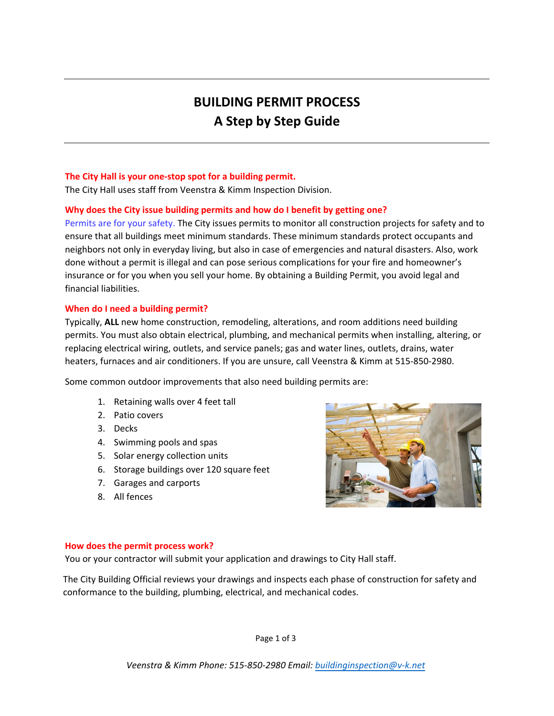# **BUILDING PERMIT PROCESS A Step by Step Guide**

#### **The City Hall is your one‐stop spot for a building permit.**

The City Hall uses staff from Veenstra & Kimm Inspection Division.

#### **Why does the City issue building permits and how do I benefit by getting one?**

Permits are for your safety. The City issues permits to monitor all construction projects for safety and to ensure that all buildings meet minimum standards. These minimum standards protect occupants and neighbors not only in everyday living, but also in case of emergencies and natural disasters. Also, work done without a permit is illegal and can pose serious complications for your fire and homeowner's insurance or for you when you sell your home. By obtaining a Building Permit, you avoid legal and financial liabilities.

#### **When do I need a building permit?**

Typically, **ALL** new home construction, remodeling, alterations, and room additions need building permits. You must also obtain electrical, plumbing, and mechanical permits when installing, altering, or replacing electrical wiring, outlets, and service panels; gas and water lines, outlets, drains, water heaters, furnaces and air conditioners. If you are unsure, call Veenstra & Kimm at 515‐850‐2980.

Some common outdoor improvements that also need building permits are:

- 1. Retaining walls over 4 feet tall
- 2. Patio covers
- 3. Decks
- 4. Swimming pools and spas
- 5. Solar energy collection units
- 6. Storage buildings over 120 square feet
- 7. Garages and carports
- 8. All fences



#### **How does the permit process work?**

You or your contractor will submit your application and drawings to City Hall staff.

The City Building Official reviews your drawings and inspects each phase of construction for safety and conformance to the building, plumbing, electrical, and mechanical codes.

Page 1 of 3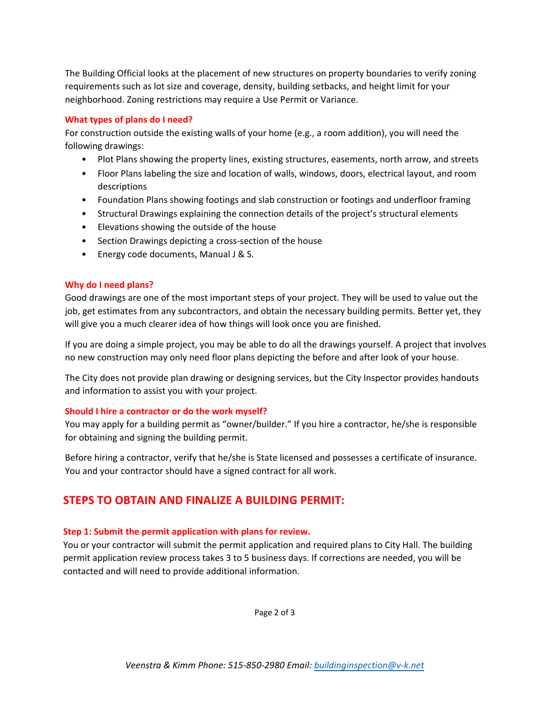The Building Official looks at the placement of new structures on property boundaries to verify zoning requirements such as lot size and coverage, density, building setbacks, and height limit for your neighborhood. Zoning restrictions may require a Use Permit or Variance.

#### **What types of plans do I need?**

For construction outside the existing walls of your home (e.g., a room addition), you will need the following drawings:

- Plot Plans showing the property lines, existing structures, easements, north arrow, and streets
- Floor Plans labeling the size and location of walls, windows, doors, electrical layout, and room descriptions
- Foundation Plans showing footings and slab construction or footings and underfloor framing
- Structural Drawings explaining the connection details of the project's structural elements
- Elevations showing the outside of the house
- Section Drawings depicting a cross-section of the house
- Energy code documents, Manual J & S.

#### **Why do I need plans?**

Good drawings are one of the most important steps of your project. They will be used to value out the job, get estimates from any subcontractors, and obtain the necessary building permits. Better yet, they will give you a much clearer idea of how things will look once you are finished.

If you are doing a simple project, you may be able to do all the drawings yourself. A project that involves no new construction may only need floor plans depicting the before and after look of your house.

The City does not provide plan drawing or designing services, but the City Inspector provides handouts and information to assist you with your project.

#### **Should I hire a contractor or do the work myself?**

You may apply for a building permit as "owner/builder." If you hire a contractor, he/she is responsible for obtaining and signing the building permit.

Before hiring a contractor, verify that he/she is State licensed and possesses a certificate of insurance. You and your contractor should have a signed contract for all work.

## **STEPS TO OBTAIN AND FINALIZE A BUILDING PERMIT:**

#### **Step 1: Submit the permit application with plans for review.**

You or your contractor will submit the permit application and required plans to City Hall. The building permit application review process takes 3 to 5 business days. If corrections are needed, you will be contacted and will need to provide additional information.

Page 2 of 3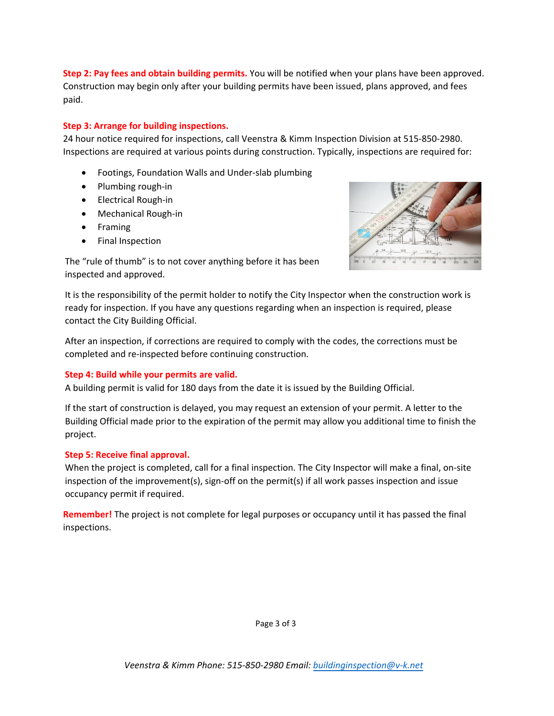**Step 2: Pay fees and obtain building permits.** You will be notified when your plans have been approved. Construction may begin only after your building permits have been issued, plans approved, and fees paid.

#### **Step 3: Arrange for building inspections.**

24 hour notice required for inspections, call Veenstra & Kimm Inspection Division at 515‐850‐2980. Inspections are required at various points during construction. Typically, inspections are required for:

- Footings, Foundation Walls and Under-slab plumbing
- Plumbing rough-in
- Electrical Rough-in
- Mechanical Rough‐in
- Framing
- Final Inspection



The "rule of thumb" is to not cover anything before it has been inspected and approved.

It is the responsibility of the permit holder to notify the City Inspector when the construction work is ready for inspection. If you have any questions regarding when an inspection is required, please contact the City Building Official.

After an inspection, if corrections are required to comply with the codes, the corrections must be completed and re‐inspected before continuing construction.

#### **Step 4: Build while your permits are valid.**

A building permit is valid for 180 days from the date it is issued by the Building Official.

If the start of construction is delayed, you may request an extension of your permit. A letter to the Building Official made prior to the expiration of the permit may allow you additional time to finish the project.

#### **Step 5: Receive final approval.**

When the project is completed, call for a final inspection. The City Inspector will make a final, on-site inspection of the improvement(s), sign-off on the permit(s) if all work passes inspection and issue occupancy permit if required.

**Remember!** The project is not complete for legal purposes or occupancy until it has passed the final inspections.